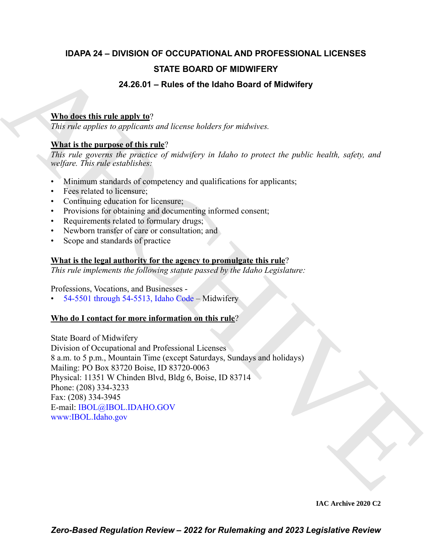## **IDAPA 24 – DIVISION OF OCCUPATIONAL AND PROFESSIONAL LICENSES STATE BOARD OF MIDWIFERY**

### **24.26.01 – Rules of the Idaho Board of Midwifery**

### **Who does this rule apply to**?

*This rule applies to applicants and license holders for midwives.*

### **What is the purpose of this rule**?

*This rule governs the practice of midwifery in Idaho to protect the public health, safety, and welfare. This rule establishes:*

- Minimum standards of competency and qualifications for applicants;
- Fees related to licensure;
- Continuing education for licensure;
- Provisions for obtaining and documenting informed consent;
- Requirements related to formulary drugs;
- Newborn transfer of care or consultation; and
- Scope and standards of practice

### **What is the legal authority for the agency to promulgate this rule**?

*This rule implements the following statute passed by the Idaho Legislature:*

Professions, Vocations, and Businesses -

 $54-5501$  through  $54-5513$ , Idaho Code – Midwifery

### **Who do I contact for more information on this rule**?

**STATE BOARD OF MIDWIFERY**<br> **24.28.01 – Rules of the lidato Board of Midwifery**<br> **Mutubes this ruley local**<br>
This ratio applies to applicate and leterns builders for matieites.<br> **Nhat is the numeros of this rule**?<br> *ARC[H](https://legislature.idaho.gov/statutesrules/idstat/Title54/T54CH55/)I* State Board of Midwifery Division of Occupational and Professional Licenses 8 a.m. to 5 p.m., Mountain Time (except Saturdays, Sundays and holidays) Mailing: PO Box 83720 Boise, ID 83720-0063 Physical: 11351 W Chinden Blvd, Bldg 6, Boise, ID 83714 Phone: (208) 334-3233 Fax: (208) 334-3945 E-mail: IBOL@IBOL.IDAHO.GOV www:IBOL.Idaho.gov

**IAC Archive 2020 C2**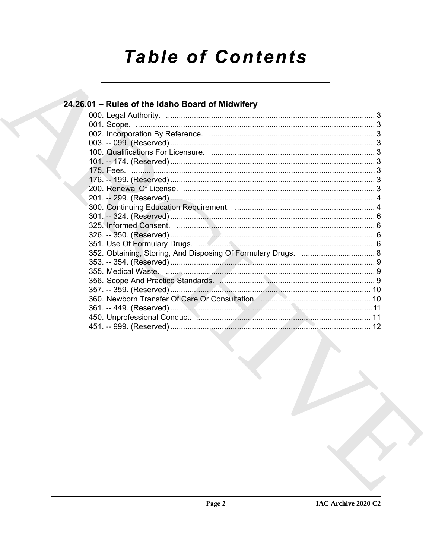# **Table of Contents**

### 24.26.01 - Rules of the Idaho Board of Midwifery

| 450. Unprofessional Conduct. Manuscription and Conduct Medicine and Conduct Medicine and Assembly Medicine and |  |  |
|----------------------------------------------------------------------------------------------------------------|--|--|
|                                                                                                                |  |  |
|                                                                                                                |  |  |
|                                                                                                                |  |  |
|                                                                                                                |  |  |
|                                                                                                                |  |  |
|                                                                                                                |  |  |
|                                                                                                                |  |  |
|                                                                                                                |  |  |
|                                                                                                                |  |  |
|                                                                                                                |  |  |
|                                                                                                                |  |  |
|                                                                                                                |  |  |
|                                                                                                                |  |  |
|                                                                                                                |  |  |
|                                                                                                                |  |  |
|                                                                                                                |  |  |
|                                                                                                                |  |  |
|                                                                                                                |  |  |
|                                                                                                                |  |  |
|                                                                                                                |  |  |
|                                                                                                                |  |  |
|                                                                                                                |  |  |
|                                                                                                                |  |  |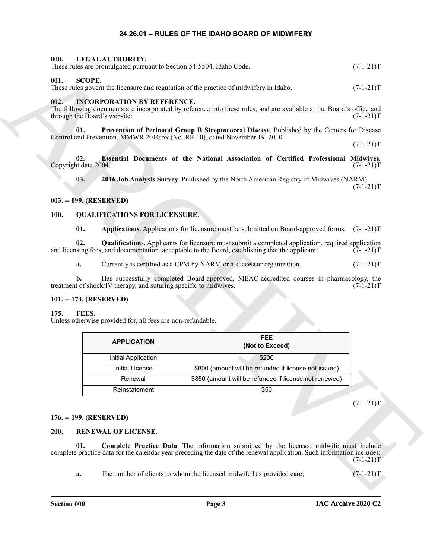### <span id="page-2-21"></span><span id="page-2-15"></span>**24.26.01 – RULES OF THE IDAHO BOARD OF MIDWIFERY**

<span id="page-2-2"></span><span id="page-2-1"></span><span id="page-2-0"></span>

|             | 000.                         | LEGAL AUTHORITY.                                                  | These rules are promulgated pursuant to Section 54-5504, Idaho Code.                                                                                                                                             | $(7-1-21)T$ |
|-------------|------------------------------|-------------------------------------------------------------------|------------------------------------------------------------------------------------------------------------------------------------------------------------------------------------------------------------------|-------------|
| 001.        | <b>SCOPE.</b>                |                                                                   | These rules govern the licensure and regulation of the practice of midwifery in Idaho.                                                                                                                           | $(7-1-21)T$ |
| 002.        | through the Board's website: | <b>INCORPORATION BY REFERENCE.</b>                                | The following documents are incorporated by reference into these rules, and are available at the Board's office and                                                                                              | $(7-1-21)T$ |
|             | 01.                          |                                                                   | Prevention of Perinatal Group B Streptococcal Disease. Published by the Centers for Disease<br>Control and Prevention, MMWR 2010;59 (No. RR 10), dated November 19, 2010.                                        |             |
|             |                              |                                                                   |                                                                                                                                                                                                                  | $(7-1-21)T$ |
|             | 02.<br>Copyright date 2004.  |                                                                   | Essential Documents of the National Association of Certified Professional Midwives.                                                                                                                              | $(7-1-21)T$ |
|             | 03.                          |                                                                   | 2016 Job Analysis Survey. Published by the North American Registry of Midwives (NARM).                                                                                                                           | $(7-1-21)T$ |
|             | 003. -- 099. (RESERVED)      |                                                                   |                                                                                                                                                                                                                  |             |
| <b>100.</b> |                              | <b>QUALIFICATIONS FOR LICENSURE.</b>                              |                                                                                                                                                                                                                  |             |
|             | 01.                          |                                                                   | Applications. Applications for licensure must be submitted on Board-approved forms. (7-1-21)T                                                                                                                    |             |
|             | 02.                          |                                                                   | <b>Qualifications</b> . Applicants for licensure must submit a completed application, required application<br>and licensing fees, and documentation, acceptable to the Board, establishing that the applicant:   | $(7-1-21)T$ |
|             | a.                           |                                                                   | Currently is certified as a CPM by NARM or a successor organization.                                                                                                                                             | $(7-1-21)T$ |
|             | b.                           | treatment of shock/IV therapy, and suturing specific to midwives. | Has successfully completed Board-approved, MEAC-accredited courses in pharmacology, the                                                                                                                          | $(7-1-21)T$ |
|             |                              |                                                                   |                                                                                                                                                                                                                  |             |
|             | 101. -- 174. (RESERVED)      |                                                                   |                                                                                                                                                                                                                  |             |
| 175.        | FEES.                        | Unless otherwise provided for, all fees are non-refundable.       |                                                                                                                                                                                                                  |             |
|             |                              | <b>APPLICATION</b>                                                | <b>FEE</b><br>(Not to Exceed)                                                                                                                                                                                    |             |
|             |                              | Initial Application                                               | \$200                                                                                                                                                                                                            |             |
|             |                              | <b>Initial License</b>                                            | \$800 (amount will be refunded if license not issued)                                                                                                                                                            |             |
|             |                              | Renewal                                                           | \$850 (amount will be refunded if license not renewed)                                                                                                                                                           |             |
|             |                              | Reinstatement                                                     | \$50                                                                                                                                                                                                             |             |
|             |                              |                                                                   |                                                                                                                                                                                                                  | $(7-1-21)T$ |
|             | 176. -- 199. (RESERVED)      |                                                                   |                                                                                                                                                                                                                  |             |
| 200.        |                              | <b>RENEWAL OF LICENSE.</b>                                        |                                                                                                                                                                                                                  |             |
|             | 01.                          |                                                                   | Complete Practice Data. The information submitted by the licensed midwife must include<br>complete practice data for the calendar year preceding the date of the renewal application. Such information includes: | $(7-1-21)T$ |

### <span id="page-2-14"></span><span id="page-2-13"></span><span id="page-2-12"></span><span id="page-2-11"></span><span id="page-2-3"></span>**02. Essential Documents of the National Association of Certified Professional Midwives**. Copyright date 2004. (7-1-21)T

### <span id="page-2-4"></span>**003. -- 099. (RESERVED)**

### <span id="page-2-18"></span><span id="page-2-17"></span><span id="page-2-16"></span><span id="page-2-5"></span>**100. QUALIFICATIONS FOR LICENSURE.**

### <span id="page-2-6"></span>**101. -- 174. (RESERVED)**

### <span id="page-2-10"></span><span id="page-2-7"></span>**175. FEES.**

| <b>APPLICATION</b>  | FEE.<br>(Not to Exceed)                                |
|---------------------|--------------------------------------------------------|
| Initial Application | \$200                                                  |
| Initial License     | \$800 (amount will be refunded if license not issued)  |
| Renewal             | \$850 (amount will be refunded if license not renewed) |
| Reinstatement       | \$50                                                   |

### <span id="page-2-8"></span>**176. -- 199. (RESERVED)**

### <span id="page-2-20"></span><span id="page-2-19"></span><span id="page-2-9"></span>**200. RENEWAL OF LICENSE.**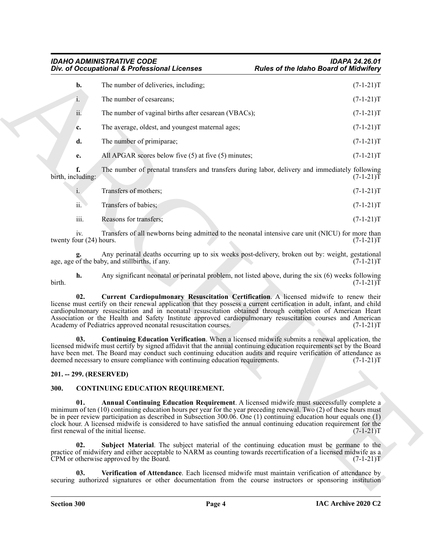|                                | Div. of Occupational & Professional Licenses                                                                                                                                                                                                                                                                                                                                                                                                                                                                                                                                                           | <b>Rules of the Idaho Board of Midwifery</b> |
|--------------------------------|--------------------------------------------------------------------------------------------------------------------------------------------------------------------------------------------------------------------------------------------------------------------------------------------------------------------------------------------------------------------------------------------------------------------------------------------------------------------------------------------------------------------------------------------------------------------------------------------------------|----------------------------------------------|
| b.                             | The number of deliveries, including;                                                                                                                                                                                                                                                                                                                                                                                                                                                                                                                                                                   | $(7-1-21)T$                                  |
| 1.                             | The number of cesareans;                                                                                                                                                                                                                                                                                                                                                                                                                                                                                                                                                                               | $(7-1-21)T$                                  |
| ii.                            | The number of vaginal births after cesarean (VBACs);                                                                                                                                                                                                                                                                                                                                                                                                                                                                                                                                                   | $(7-1-21)T$                                  |
| c.                             | The average, oldest, and youngest maternal ages;                                                                                                                                                                                                                                                                                                                                                                                                                                                                                                                                                       | $(7-1-21)T$                                  |
| d.                             | The number of primiparae;                                                                                                                                                                                                                                                                                                                                                                                                                                                                                                                                                                              | $(7-1-21)T$                                  |
| е.                             | All APGAR scores below five $(5)$ at five $(5)$ minutes;                                                                                                                                                                                                                                                                                                                                                                                                                                                                                                                                               | $(7-1-21)T$                                  |
| f.<br>birth, including:        | The number of prenatal transfers and transfers during labor, delivery and immediately following                                                                                                                                                                                                                                                                                                                                                                                                                                                                                                        | $(7-1-21)T$                                  |
| i.                             | Transfers of mothers;                                                                                                                                                                                                                                                                                                                                                                                                                                                                                                                                                                                  | $(7-1-21)T$                                  |
| ii.                            | Transfers of babies;                                                                                                                                                                                                                                                                                                                                                                                                                                                                                                                                                                                   | $(7-1-21)T$                                  |
| iii.                           | Reasons for transfers;                                                                                                                                                                                                                                                                                                                                                                                                                                                                                                                                                                                 | $(7-1-21)T$                                  |
| iv.<br>twenty four (24) hours. | Transfers of all newborns being admitted to the neonatal intensive care unit (NICU) for more than                                                                                                                                                                                                                                                                                                                                                                                                                                                                                                      | $(7-1-21)T$                                  |
|                                | Any perinatal deaths occurring up to six weeks post-delivery, broken out by: weight, gestational<br>age, age of the baby, and stillbirths, if any.                                                                                                                                                                                                                                                                                                                                                                                                                                                     | $(7-1-21)T$                                  |
| h.<br>birth.                   | Any significant neonatal or perinatal problem, not listed above, during the six (6) weeks following                                                                                                                                                                                                                                                                                                                                                                                                                                                                                                    | $(7-1-21)T$                                  |
| 02.                            | Current Cardiopulmonary Resuscitation Certification. A licensed midwife to renew their<br>license must certify on their renewal application that they possess a current certification in adult, infant, and child<br>cardiopulmonary resuscitation and in neonatal resuscitation obtained through completion of American Heart<br>Association or the Health and Safety Institute approved cardiopulmonary resuscitation courses and American<br>Academy of Pediatrics approved neonatal resuscitation courses.                                                                                         | $(7-1-21)T$                                  |
| 03.                            | <b>Continuing Education Verification.</b> When a licensed midwife submits a renewal application, the<br>licensed midwife must certify by signed affidavit that the annual continuing education requirements set by the Board<br>have been met. The Board may conduct such continuing education audits and require verification of attendance as<br>deemed necessary to ensure compliance with continuing education requirements.                                                                                                                                                                       | $(7-1-21)T$                                  |
| 201. -- 299. (RESERVED)        |                                                                                                                                                                                                                                                                                                                                                                                                                                                                                                                                                                                                        |                                              |
| 300.                           | <b>CONTINUING EDUCATION REQUIREMENT.</b>                                                                                                                                                                                                                                                                                                                                                                                                                                                                                                                                                               |                                              |
| 01.                            | Annual Continuing Education Requirement. A licensed midwife must successfully complete a<br>minimum of ten (10) continuing education hours per year for the year preceding renewal. Two (2) of these hours must<br>be in peer review participation as described in Subsection 300.06. One $(1)$ continuing education hour equals one $(1)$<br>clock hour. A licensed midwife is considered to have satisfied the annual continuing education requirement for the<br>first renewal of the initial license.<br>Subject Material. The subject material of the continuing education must be germane to the | $(7-1-21)T$                                  |
|                                |                                                                                                                                                                                                                                                                                                                                                                                                                                                                                                                                                                                                        |                                              |
| 02.                            | practice of midwifery and either acceptable to NARM as counting towards recertification of a licensed midwife as a<br>CPM or otherwise approved by the Board.                                                                                                                                                                                                                                                                                                                                                                                                                                          | $(7-1-21)T$                                  |

### <span id="page-3-7"></span><span id="page-3-6"></span><span id="page-3-0"></span>**201. -- 299. (RESERVED)**

### <span id="page-3-5"></span><span id="page-3-4"></span><span id="page-3-3"></span><span id="page-3-2"></span><span id="page-3-1"></span>**300. CONTINUING EDUCATION REQUIREMENT.**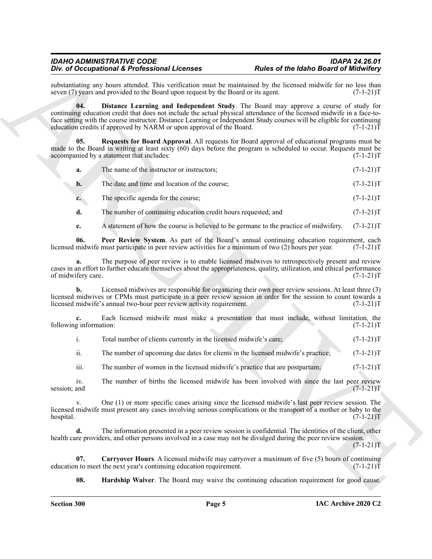<span id="page-4-1"></span>substantiating any hours attended. This verification must be maintained by the licensed midwife for no less than seven (7) years and provided to the Board upon request by the Board or its agent. (7-1-21) seven  $(7)$  years and provided to the Board upon request by the Board or its agent.

The of Decision of Keyforski and Line and the matter of the Islam of the Islam of the Rabo Board of Historic state<br>
archives the state of the Construction of the Construction of the Construction of the Construction of th **04. Distance Learning and Independent Study**. The Board may approve a course of study for continuing education credit that does not include the actual physical attendance of the licensed midwife in a face-toface setting with the course instructor. Distance Learning or Independent Study courses will be eligible for continuing education credits if approved by NARM or upon approval of the Board. (7-1-21) education credits if approved by NARM or upon approval of the Board.

**05. Requests for Board Approval**. All requests for Board approval of educational programs must be made to the Board in writing at least sixty (60) days before the program is scheduled to occur. Requests must be accompanied by a statement that includes: (7-1-21)T

<span id="page-4-4"></span>

| a. | The name of the instructor or instructors: | $(7-1-21)T$ |
|----|--------------------------------------------|-------------|
|    |                                            |             |

- **b.** The date and time and location of the course; (7-1-21)T
- **c.** The specific agenda for the course; (7-1-21)T
- **d.** The number of continuing education credit hours requested; and  $(7-1-21)$ T
- <span id="page-4-3"></span>**e.** A statement of how the course is believed to be germane to the practice of midwifery. (7-1-21)T

**06.** Peer Review System. As part of the Board's annual continuing education requirement, each midwife must participate in peer review activities for a minimum of two (2) hours per year. (7-1-21) licensed midwife must participate in peer review activities for a minimum of two (2) hours per year.

**a.** The purpose of peer review is to enable licensed midwives to retrospectively present and review cases in an effort to further educate themselves about the appropriateness, quality, utilization, and ethical performance of midwifery care.

**b.** Licensed midwives are responsible for organizing their own peer review sessions. At least three (3) licensed midwives or CPMs must participate in a peer review session in order for the session to count towards a licensed midwife's annual two-hour peer review activity requirement. (7-1-21)T

**c.** Each licensed midwife must make a presentation that must include, without limitation, the g information:  $(7-1-21)T$ following information:

| Total number of clients currently in the licensed midwife's care; |  | $(7-1-21)T$ |
|-------------------------------------------------------------------|--|-------------|
|                                                                   |  |             |

ii. The number of upcoming due dates for clients in the licensed midwife's practice; (7-1-21)T

iii. The number of women in the licensed midwife's practice that are postpartum;  $(7<sub>-1</sub>1-21)T$ 

iv. The number of births the licensed midwife has been involved with since the last peer review and  $(7-1-21)$ T session; and  $(7-1-21)T$ 

v. One (1) or more specific cases arising since the licensed midwife's last peer review session. The licensed midwife must present any cases involving serious complications or the transport of a mother or baby to the hospital. (7-1-21)T

**d.** The information presented in a peer review session is confidential. The identities of the client, other health care providers, and other persons involved in a case may not be divulged during the peer review session.

 $(7-1-21)T$ 

**07. Carryover Hours**. A licensed midwife may carryover a maximum of five (5) hours of continuing n to meet the next year's continuing education requirement. (7-1-21) education to meet the next year's continuing education requirement.

<span id="page-4-2"></span><span id="page-4-0"></span>**08. Hardship Waiver**. The Board may waive the continuing education requirement for good cause.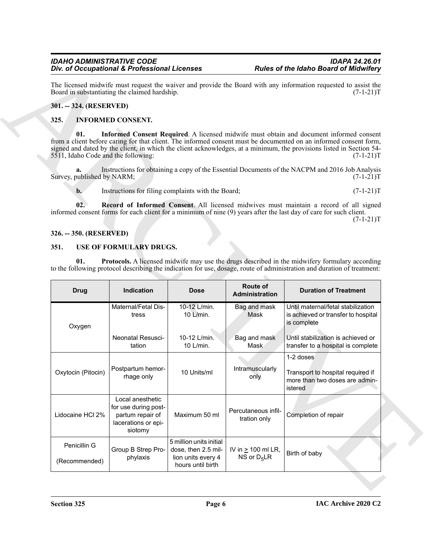### <span id="page-5-0"></span>**301. -- 324. (RESERVED)**

### <span id="page-5-5"></span><span id="page-5-4"></span><span id="page-5-1"></span>**325. INFORMED CONSENT.**

### <span id="page-5-6"></span><span id="page-5-2"></span>**326. -- 350. (RESERVED)**

### <span id="page-5-8"></span><span id="page-5-7"></span><span id="page-5-3"></span>**351. USE OF FORMULARY DRUGS.**

| Div. of Occupational & Professional Licenses                                                                                                                                                                                                                                                                                                                                                      |                                                                                                                                                                                                                                         | <b>Rules of the Idaho Board of Midwifery</b>       |                                     |                                                                                                                                                                                                                             |  |  |  |
|---------------------------------------------------------------------------------------------------------------------------------------------------------------------------------------------------------------------------------------------------------------------------------------------------------------------------------------------------------------------------------------------------|-----------------------------------------------------------------------------------------------------------------------------------------------------------------------------------------------------------------------------------------|----------------------------------------------------|-------------------------------------|-----------------------------------------------------------------------------------------------------------------------------------------------------------------------------------------------------------------------------|--|--|--|
| The licensed midwife must request the waiver and provide the Board with any information requested to assist the<br>Board in substantiating the claimed hardship.<br>$(7-1-21)T$                                                                                                                                                                                                                   |                                                                                                                                                                                                                                         |                                                    |                                     |                                                                                                                                                                                                                             |  |  |  |
| 301. -- 324. (RESERVED)                                                                                                                                                                                                                                                                                                                                                                           |                                                                                                                                                                                                                                         |                                                    |                                     |                                                                                                                                                                                                                             |  |  |  |
| 325.                                                                                                                                                                                                                                                                                                                                                                                              | <b>INFORMED CONSENT.</b>                                                                                                                                                                                                                |                                                    |                                     |                                                                                                                                                                                                                             |  |  |  |
| 01.<br>Informed Consent Required. A licensed midwife must obtain and document informed consent<br>from a client before caring for that client. The informed consent must be documented on an informed consent form,<br>signed and dated by the client, in which the client acknowledges, at a minimum, the provisions listed in Section 54-<br>5511, Idaho Code and the following:<br>$(7-1-21)T$ |                                                                                                                                                                                                                                         |                                                    |                                     |                                                                                                                                                                                                                             |  |  |  |
| a.<br>Survey, published by NARM;                                                                                                                                                                                                                                                                                                                                                                  |                                                                                                                                                                                                                                         |                                                    |                                     | Instructions for obtaining a copy of the Essential Documents of the NACPM and 2016 Job Analysis<br>$(7-1-21)T$                                                                                                              |  |  |  |
| $\mathbf{b}$ .                                                                                                                                                                                                                                                                                                                                                                                    |                                                                                                                                                                                                                                         | Instructions for filing complaints with the Board; |                                     | $(7-1-21)T$                                                                                                                                                                                                                 |  |  |  |
| 02.                                                                                                                                                                                                                                                                                                                                                                                               |                                                                                                                                                                                                                                         |                                                    |                                     | Record of Informed Consent. All licensed midwives must maintain a record of all signed<br>informed consent forms for each client for a minimum of nine (9) years after the last day of care for such client.<br>$(7-1-21)T$ |  |  |  |
| 326. -- 350. (RESERVED)                                                                                                                                                                                                                                                                                                                                                                           |                                                                                                                                                                                                                                         |                                                    |                                     |                                                                                                                                                                                                                             |  |  |  |
| USE OF FORMULARY DRUGS.<br>351.                                                                                                                                                                                                                                                                                                                                                                   |                                                                                                                                                                                                                                         |                                                    |                                     |                                                                                                                                                                                                                             |  |  |  |
|                                                                                                                                                                                                                                                                                                                                                                                                   | <b>Protocols.</b> A licensed midwife may use the drugs described in the midwifery formulary according<br>01.<br>to the following protocol describing the indication for use, dosage, route of administration and duration of treatment: |                                                    |                                     |                                                                                                                                                                                                                             |  |  |  |
|                                                                                                                                                                                                                                                                                                                                                                                                   |                                                                                                                                                                                                                                         |                                                    |                                     |                                                                                                                                                                                                                             |  |  |  |
| <b>Drug</b>                                                                                                                                                                                                                                                                                                                                                                                       | Indication                                                                                                                                                                                                                              | <b>Dose</b>                                        | Route of<br>Administration          | <b>Duration of Treatment</b>                                                                                                                                                                                                |  |  |  |
| Oxygen                                                                                                                                                                                                                                                                                                                                                                                            | Maternal/Fetal Dis-<br>tress                                                                                                                                                                                                            | 10-12 L/min.<br>10 L/min.                          | Bag and mask<br>Mask                | Until maternal/fetal stabilization<br>is complete                                                                                                                                                                           |  |  |  |
|                                                                                                                                                                                                                                                                                                                                                                                                   | Neonatal Resusci-<br>tation                                                                                                                                                                                                             | 10-12 L/min.<br>10 L/min.                          | Bag and mask<br>Mask                | is achieved or transfer to hospital<br>Until stabilization is achieved or<br>transfer to a hospital is complete                                                                                                             |  |  |  |
|                                                                                                                                                                                                                                                                                                                                                                                                   |                                                                                                                                                                                                                                         |                                                    |                                     | 1-2 doses                                                                                                                                                                                                                   |  |  |  |
| Oxytocin (Pitocin)                                                                                                                                                                                                                                                                                                                                                                                | Postpartum hemor-<br>rhage only                                                                                                                                                                                                         | 10 Units/ml                                        | Intramuscularly<br>only             | Transport to hospital required if<br>istered                                                                                                                                                                                |  |  |  |
| Lidocaine HCI 2%                                                                                                                                                                                                                                                                                                                                                                                  | Local anesthetic<br>for use during post-<br>partum repair of<br>lacerations or epi-<br>siotomy                                                                                                                                          | Maximum 50 ml                                      | Percutaneous infil-<br>tration only | more than two doses are admin-<br>Completion of repair                                                                                                                                                                      |  |  |  |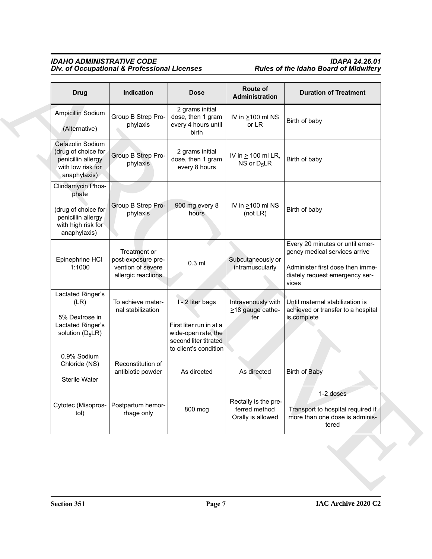### *IDAHO ADMINISTRATIVE CODE IDAPA 24.26.01 Div. of Occupational & Professional Licenses Rules of the Idaho Board of Midwifery*

| <b>Drug</b>                                                                                                   | Indication                                                                    | <b>Dose</b>                                                                                                          | Route of<br>Administration                                 | <b>Duration of Treatment</b>                                                                                                                    |
|---------------------------------------------------------------------------------------------------------------|-------------------------------------------------------------------------------|----------------------------------------------------------------------------------------------------------------------|------------------------------------------------------------|-------------------------------------------------------------------------------------------------------------------------------------------------|
| Ampicillin Sodium<br>(Alternative)                                                                            | Group B Strep Pro-<br>phylaxis                                                | 2 grams initial<br>dose, then 1 gram<br>every 4 hours until<br>birth                                                 | IV in $\geq$ 100 ml NS<br>or LR                            | Birth of baby                                                                                                                                   |
| Cefazolin Sodium<br>(drug of choice for<br>penicillin allergy<br>with low risk for<br>anaphylaxis)            | Group B Strep Pro-<br>phylaxis                                                | 2 grams initial<br>dose, then 1 gram<br>every 8 hours                                                                | IV in $\geq$ 100 ml LR,<br>NS or $D_5LR$                   | Birth of baby                                                                                                                                   |
| Clindamycin Phos-<br>phate<br>(drug of choice for<br>penicillin allergy<br>with high risk for<br>anaphylaxis) | Group B Strep Pro-<br>phylaxis                                                | 900 mg every 8<br>hours                                                                                              | IV in $\geq 100$ ml NS<br>(not $LR$ )                      | Birth of baby                                                                                                                                   |
| Epinephrine HCI<br>1:1000                                                                                     | Treatment or<br>post-exposure pre-<br>vention of severe<br>allergic reactions | $0.3$ ml                                                                                                             | Subcutaneously or<br>intramuscularly                       | Every 20 minutes or until emer-<br>gency medical services arrive<br>Administer first dose then imme-<br>diately request emergency ser-<br>vices |
| Lactated Ringer's<br>(LR)<br>5% Dextrose in<br>Lactated Ringer's<br>solution $(D_5LR)$                        | To achieve mater-<br>nal stabilization                                        | I - 2 liter bags<br>First liter run in at a<br>wide-open rate, the<br>second liter titrated<br>to client's condition | Intravenously with<br>>18 gauge cathe-<br>ter              | Until maternal stabilization is<br>achieved or transfer to a hospital<br>is complete                                                            |
| 0.9% Sodium<br>Chloride (NS)<br>Sterile Water                                                                 | Reconstitution of<br>antibiotic powder                                        | As directed                                                                                                          | As directed                                                | <b>Birth of Baby</b>                                                                                                                            |
| tol)                                                                                                          | Cytotec (Misopros- Postpartum hemor-<br>rhage only                            | 800 mcg                                                                                                              | Rectally is the pre-<br>ferred method<br>Orally is allowed | 1-2 doses<br>Transport to hospital required if<br>more than one dose is adminis-<br>tered                                                       |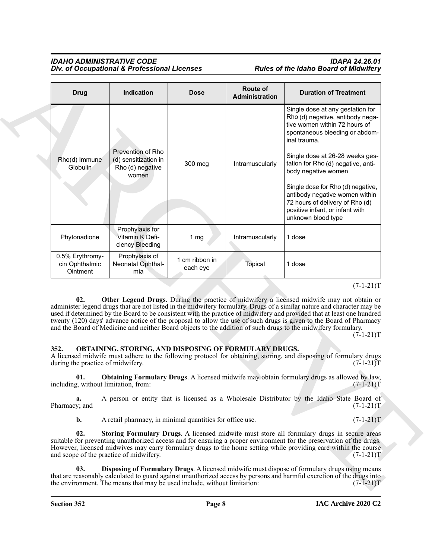| <b>Drug</b>                                                                                               | Indication                                                             | <b>Dose</b>                | Route of<br>Administration | <b>Duration of Treatment</b>                                                                                                                                                                                                                                                                                                                                                                                                                                                                                                                                                                        |
|-----------------------------------------------------------------------------------------------------------|------------------------------------------------------------------------|----------------------------|----------------------------|-----------------------------------------------------------------------------------------------------------------------------------------------------------------------------------------------------------------------------------------------------------------------------------------------------------------------------------------------------------------------------------------------------------------------------------------------------------------------------------------------------------------------------------------------------------------------------------------------------|
| Rho(d) Immune<br>Globulin                                                                                 | Prevention of Rho<br>(d) sensitization in<br>Rho (d) negative<br>women | 300 mcg                    | Intramuscularly            | Single dose at any gestation for<br>Rho (d) negative, antibody nega-<br>tive women within 72 hours of<br>spontaneous bleeding or abdom-<br>inal trauma.<br>Single dose at 26-28 weeks ges-<br>tation for Rho (d) negative, anti-<br>body negative women<br>Single dose for Rho (d) negative,<br>antibody negative women within<br>72 hours of delivery of Rho (d)<br>positive infant, or infant with<br>unknown blood type                                                                                                                                                                          |
| Phytonadione                                                                                              | Prophylaxis for<br>Vitamin K Defi-<br>ciency Bleeding                  | 1 $mg$                     | Intramuscularly            | 1 dose                                                                                                                                                                                                                                                                                                                                                                                                                                                                                                                                                                                              |
| 0.5% Erythromy-<br>cin Ophthalmic<br>Ointment                                                             | Prophylaxis of<br>Neonatal Ophthal-<br>mia                             | 1 cm ribbon in<br>each eye | Topical                    | 1 dose                                                                                                                                                                                                                                                                                                                                                                                                                                                                                                                                                                                              |
|                                                                                                           |                                                                        |                            |                            |                                                                                                                                                                                                                                                                                                                                                                                                                                                                                                                                                                                                     |
| 02.                                                                                                       | OBTAINING, STORING, AND DISPOSING OF FORMULARY DRUGS.                  |                            |                            | Other Legend Drugs. During the practice of midwifery a licensed midwife may not obtain or<br>administer legend drugs that are not listed in the midwifery formulary. Drugs of a similar nature and character may be<br>used if determined by the Board to be consistent with the practice of midwifery and provided that at least one hundred<br>twenty (120) days' advance notice of the proposal to allow the use of such drugs is given to the Board of Pharmacy<br>and the Board of Medicine and neither Board objects to the addition of such drugs to the midwifery formulary.<br>$(7-1-21)T$ |
|                                                                                                           |                                                                        |                            |                            | A licensed midwife must adhere to the following protocol for obtaining, storing, and disposing of formulary drugs<br>$(7-1-21)T$                                                                                                                                                                                                                                                                                                                                                                                                                                                                    |
| 01.                                                                                                       |                                                                        |                            |                            | Obtaining Formulary Drugs. A licensed midwife may obtain formulary drugs as allowed by law,<br>$(7-1-21)T$                                                                                                                                                                                                                                                                                                                                                                                                                                                                                          |
| a.                                                                                                        |                                                                        |                            |                            | A person or entity that is licensed as a Wholesale Distributor by the Idaho State Board of<br>$(7-1-21)T$                                                                                                                                                                                                                                                                                                                                                                                                                                                                                           |
| $\mathbf{b}$ .                                                                                            | A retail pharmacy, in minimal quantities for office use.               |                            |                            |                                                                                                                                                                                                                                                                                                                                                                                                                                                                                                                                                                                                     |
| 352.<br>during the practice of midwifery.<br>including, without limitation, from:<br>Pharmacy; and<br>02. | and scope of the practice of midwifery.                                |                            |                            | $(7-1-21)T$<br>Storing Formulary Drugs. A licensed midwife must store all formulary drugs in secure areas<br>suitable for preventing unauthorized access and for ensuring a proper environment for the preservation of the drugs.<br>However, licensed midwives may carry formulary drugs to the home setting while providing care within the course<br>$(7-1-21)T$                                                                                                                                                                                                                                 |

### <span id="page-7-5"></span><span id="page-7-4"></span><span id="page-7-3"></span><span id="page-7-2"></span><span id="page-7-1"></span><span id="page-7-0"></span>**352. OBTAINING, STORING, AND DISPOSING OF FORMULARY DRUGS.**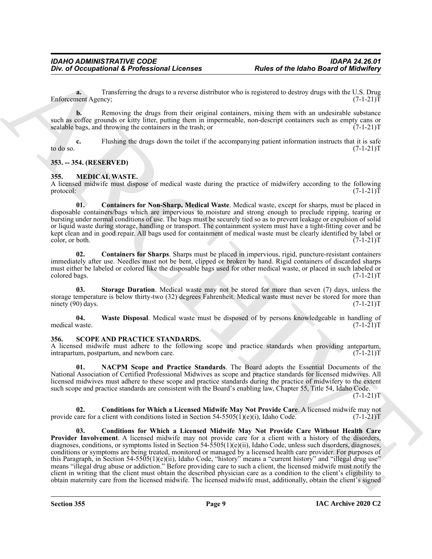**a.** Transferring the drugs to a reverse distributor who is registered to destroy drugs with the U.S. Drug nent Agency:  $(7-1-21)T$ Enforcement Agency;

**b.** Removing the drugs from their original containers, mixing them with an undesirable substance such as coffee grounds or kitty litter, putting them in impermeable, non-descript containers such as empty cans or sealable bags, and throwing the containers in the trash; or  $(7-1-21)$ sealable bags, and throwing the containers in the trash; or

**c.** Flushing the drugs down the toilet if the accompanying patient information instructs that it is safe to do so.  $(7-1-21)T$ 

### <span id="page-8-0"></span>**353. -- 354. (RESERVED)**

### <span id="page-8-3"></span><span id="page-8-1"></span>**355. MEDICAL WASTE.**

A licensed midwife must dispose of medical waste during the practice of midwifery according to the following protocol:  $(7-1-21)$ protocol: (7-1-21)T

<span id="page-8-4"></span>**01. Containers for Non-Sharp, Medical Waste**. Medical waste, except for sharps, must be placed in disposable containers/bags which are impervious to moisture and strong enough to preclude ripping, tearing or bursting under normal conditions of use. The bags must be securely tied so as to prevent leakage or expulsion of solid or liquid waste during storage, handling or transport. The containment system must have a tight-fitting cover and be kept clean and in good repair. All bags used for containment of medical waste must be clearly identified by label or color, or both.  $(7-1-21)T$ color, or both.

<span id="page-8-5"></span>**02. Containers for Sharps**. Sharps must be placed in impervious, rigid, puncture-resistant containers immediately after use. Needles must not be bent, clipped or broken by hand. Rigid containers of discarded sharps must either be labeled or colored like the disposable bags used for other medical waste, or placed in such labeled or colored bags.  $(7-1-21)$ colored bags. (7-1-21)T

<span id="page-8-6"></span>**03. Storage Duration**. Medical waste may not be stored for more than seven (7) days, unless the storage temperature is below thirty-two (32) degrees Fahrenheit. Medical waste must never be stored for more than ninety (90) days.  $(7-1-21)$ T

<span id="page-8-7"></span>**04.** Waste Disposal. Medical waste must be disposed of by persons knowledgeable in handling of waste. (7-1-21)T medical waste.

### <span id="page-8-8"></span><span id="page-8-2"></span>**356. SCOPE AND PRACTICE STANDARDS.**

A licensed midwife must adhere to the following scope and practice standards when providing antepartum, intrapartum, postpartum, and newborn care. (7-1-21) intrapartum, postpartum, and newborn care.

<span id="page-8-11"></span>**01. NACPM Scope and Practice Standards**. The Board adopts the Essential Documents of the National Association of Certified Professional Midwives as scope and practice standards for licensed midwives. All licensed midwives must adhere to these scope and practice standards during the practice of midwifery to the extent such scope and practice standards are consistent with the Board's enabling law, Chapter 55, Title 54, Idaho Code.

 $(7-1-21)T$ 

<span id="page-8-10"></span><span id="page-8-9"></span>**02. Conditions for Which a Licensed Midwife May Not Provide Care**. A licensed midwife may not provide care for a client with conditions listed in Section  $54-5505(1)(e)(i)$ , Idaho Code.  $(7-1-21)T$ 

For d'Occupational & Professional Licenses<br>
Tolugational & Professional Licenses<br>
Tolugation in the Harbor Barbara and the state of the Harbor Barbara and the state of the Harbor Barbara and the state of the state of the **03. Conditions for Which a Licensed Midwife May Not Provide Care Without Health Care Provider Involvement**. A licensed midwife may not provide care for a client with a history of the disorders, diagnoses, conditions, or symptoms listed in Section 54-5505(1)(e)(ii), Idaho Code, unless such disorders, diagnoses, conditions or symptoms are being treated, monitored or managed by a licensed health care provider. For purposes of this Paragraph, in Section 54-5505(1)(e)(ii), Idaho Code, "history" means a "current history" and "illegal drug use" means "illegal drug abuse or addiction." Before providing care to such a client, the licensed midwife must notify the client in writing that the client must obtain the described physician care as a condition to the client's eligibility to obtain maternity care from the licensed midwife. The licensed midwife must, additionally, obtain the client's signed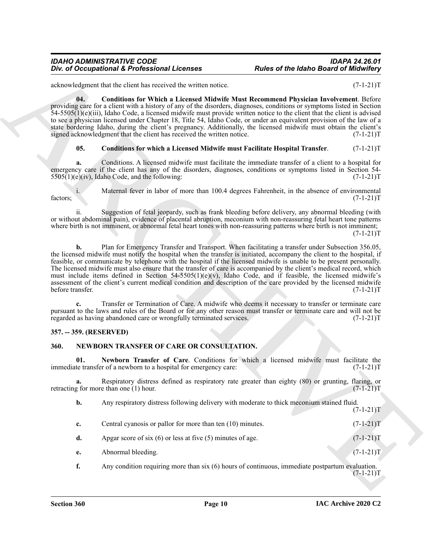acknowledgment that the client has received the written notice. (7-1-21)T

<span id="page-9-5"></span>**04. Conditions for Which a Licensed Midwife Must Recommend Physician Involvement**. Before providing care for a client with a history of any of the disorders, diagnoses, conditions or symptoms listed in Section 54-5505(1)(e)(iii), Idaho Code, a licensed midwife must provide written notice to the client that the client is advised to see a physician licensed under Chapter 18, Title 54, Idaho Code, or under an equivalent provision of the law of a state bordering Idaho, during the client's pregnancy. Additionally, the licensed midwife must obtain the client's signed acknowledgment that the client has received the written notice. (7-1-21)T

### <span id="page-9-4"></span>**05. Conditions for which a Licensed Midwife must Facilitate Hospital Transfer**. (7-1-21)T

**a.** Conditions. A licensed midwife must facilitate the immediate transfer of a client to a hospital for emergency care if the client has any of the disorders, diagnoses, conditions or symptoms listed in Section 54-  $5505(1)(e)(iv)$ , Idaho Code, and the following: (7-1-21)T

i. Maternal fever in labor of more than 100.4 degrees Fahrenheit, in the absence of environmental (7-1-21)T factors;  $(7-1-21)$ T

ii. Suggestion of fetal jeopardy, such as frank bleeding before delivery, any abnormal bleeding (with or without abdominal pain), evidence of placental abruption, meconium with non-reassuring fetal heart tone patterns where birth is not imminent, or abnormal fetal heart tones with non-reassuring patterns where birth is not imminent;  $(7-1-21)T$ 

Doe of Occupational K. Professional Licenses<br>
School Board of the Ideal of the Idea of the Idea of the Idea of the Idea of the Idea of the Idea of the Islam Control Control Control Control Control Control Control Control **b.** Plan for Emergency Transfer and Transport. When facilitating a transfer under Subsection 356.05, the licensed midwife must notify the hospital when the transfer is initiated, accompany the client to the hospital, if feasible, or communicate by telephone with the hospital if the licensed midwife is unable to be present personally. The licensed midwife must also ensure that the transfer of care is accompanied by the client's medical record, which must include items defined in Section 54-5505(1)(e)(v), Idaho Code, and if feasible, the licensed midwife's assessment of the client's current medical condition and description of the care provided by the licensed midwife before transfer. (7-1-21)T

**c.** Transfer or Termination of Care. A midwife who deems it necessary to transfer or terminate care pursuant to the laws and rules of the Board or for any other reason must transfer or terminate care and will not be regarded as having abandoned care or wrongfully terminated services. (7-1-21)T

### <span id="page-9-0"></span>**357. -- 359. (RESERVED)**

### <span id="page-9-2"></span><span id="page-9-1"></span>**360. NEWBORN TRANSFER OF CARE OR CONSULTATION.**

<span id="page-9-3"></span>**01.** Newborn Transfer of Care. Conditions for which a licensed midwife must facilitate the te transfer of a newborn to a hospital for emergency care: (7-1-21) immediate transfer of a newborn to a hospital for emergency care:

**a.** Respiratory distress defined as respiratory rate greater than eighty (80) or grunting, flaring, or g for more than one (1) hour. retracting for more than one  $(1)$  hour.

**b.** Any respiratory distress following delivery with moderate to thick meconium stained fluid.

 $(7-1-21)T$ 

- **c.** Central cyanosis or pallor for more than ten (10) minutes.  $(7-1-21)$ T
- **d.** Apgar score of six (6) or less at five (5) minutes of age.  $(7-1-21)T$
- **e.** Abnormal bleeding. (7-1-21)T
- **f.** Any condition requiring more than six (6) hours of continuous, immediate postpartum evaluation.  $(7-1-21)T$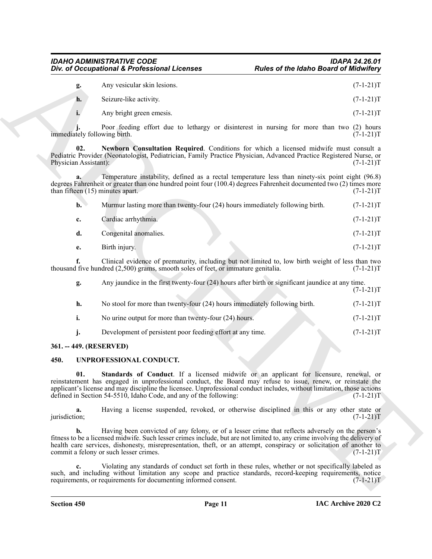<span id="page-10-2"></span>

|    | Any vesicular skin lesions. | $(7-1-21)T$ |
|----|-----------------------------|-------------|
| h. | Seizure-like activity.      | $(7-1-21)T$ |

| $\mathbf{b}$ . | Murmur lasting more than twenty-four (24) hours immediately following birth. | $(7-1-21)T$ |
|----------------|------------------------------------------------------------------------------|-------------|
| c.             | Cardiac arrhythmia.                                                          | $(7-1-21)T$ |
| d.             | Congenital anomalies.                                                        | $(7-1-21)T$ |
| e.             | Birth injury.                                                                | $(7-1-21)T$ |

| Div. of Occupational & Professional Licenses |                                                                                                                                                                                                                                                                                                                                                                                                       | <b>Rules of the Idaho Board of Midwifery</b> |             |  |
|----------------------------------------------|-------------------------------------------------------------------------------------------------------------------------------------------------------------------------------------------------------------------------------------------------------------------------------------------------------------------------------------------------------------------------------------------------------|----------------------------------------------|-------------|--|
| g.                                           | Any vesicular skin lesions.                                                                                                                                                                                                                                                                                                                                                                           |                                              | $(7-1-21)T$ |  |
| h.                                           | Seizure-like activity.                                                                                                                                                                                                                                                                                                                                                                                |                                              | $(7-1-21)T$ |  |
| i.                                           | Any bright green emesis.                                                                                                                                                                                                                                                                                                                                                                              |                                              | $(7-1-21)T$ |  |
| immediately following birth.                 | Poor feeding effort due to lethargy or disinterest in nursing for more than two (2) hours                                                                                                                                                                                                                                                                                                             |                                              | $(7-1-21)T$ |  |
| 02.<br>Physician Assistant):                 | Newborn Consultation Required. Conditions for which a licensed midwife must consult a<br>Pediatric Provider (Neonatologist, Pediatrician, Family Practice Physician, Advanced Practice Registered Nurse, or                                                                                                                                                                                           |                                              | $(7-1-21)T$ |  |
| a.<br>than fifteen (15) minutes apart.       | Temperature instability, defined as a rectal temperature less than ninety-six point eight (96.8)<br>degrees Fahrenheit or greater than one hundred point four (100.4) degrees Fahrenheit documented two (2) times more                                                                                                                                                                                |                                              | $(7-1-21)T$ |  |
| $\mathbf{b}$ .                               | Murmur lasting more than twenty-four (24) hours immediately following birth.                                                                                                                                                                                                                                                                                                                          |                                              | $(7-1-21)T$ |  |
| c.                                           | Cardiac arrhythmia.                                                                                                                                                                                                                                                                                                                                                                                   |                                              | $(7-1-21)T$ |  |
| d.                                           | Congenital anomalies.                                                                                                                                                                                                                                                                                                                                                                                 |                                              | $(7-1-21)T$ |  |
| e.                                           | Birth injury.                                                                                                                                                                                                                                                                                                                                                                                         |                                              | $(7-1-21)T$ |  |
| f.                                           | Clinical evidence of prematurity, including but not limited to, low birth weight of less than two<br>thousand five hundred (2,500) grams, smooth soles of feet, or immature genitalia.                                                                                                                                                                                                                |                                              | $(7-1-21)T$ |  |
| g.                                           | Any jaundice in the first twenty-four (24) hours after birth or significant jaundice at any time.                                                                                                                                                                                                                                                                                                     |                                              | $(7-1-21)T$ |  |
| h.                                           | No stool for more than twenty-four (24) hours immediately following birth.                                                                                                                                                                                                                                                                                                                            |                                              | $(7-1-21)T$ |  |
| i.                                           | No urine output for more than twenty-four (24) hours.                                                                                                                                                                                                                                                                                                                                                 |                                              | $(7-1-21)T$ |  |
| j.                                           | Development of persistent poor feeding effort at any time.                                                                                                                                                                                                                                                                                                                                            |                                              | $(7-1-21)T$ |  |
| 361. -- 449. (RESERVED)                      |                                                                                                                                                                                                                                                                                                                                                                                                       |                                              |             |  |
| 450.                                         | UNPROFESSIONAL CONDUCT.                                                                                                                                                                                                                                                                                                                                                                               |                                              |             |  |
| 01.                                          | Standards of Conduct. If a licensed midwife or an applicant for licensure, renewal, or<br>reinstatement has engaged in unprofessional conduct, the Board may refuse to issue, renew, or reinstate the<br>applicant's license and may discipline the licensee. Unprofessional conduct includes, without limitation, those actions<br>defined in Section 54-5510, Idaho Code, and any of the following: |                                              | $(7-1-21)T$ |  |
| a.<br>jurisdiction;                          | Having a license suspended, revoked, or otherwise disciplined in this or any other state or                                                                                                                                                                                                                                                                                                           |                                              | $(7-1-21)T$ |  |
| b.                                           | Having been convicted of any felony, or of a lesser crime that reflects adversely on the person's<br>fitness to be a licensed midwife. Such lesser crimes include, but are not limited to, any crime involving the delivery of<br>health care services, dishonesty, misrepresentation, theft, or an attempt, conspiracy or solicitation of another to<br>commit a felony or such lesser crimes.       |                                              | $(7-1-21)T$ |  |
| c.                                           | Violating any standards of conduct set forth in these rules, whether or not specifically labeled as<br>such, and including without limitation any scope and practice standards, record-keeping requirements, notice                                                                                                                                                                                   |                                              |             |  |

### <span id="page-10-0"></span>**361. -- 449. (RESERVED)**

### <span id="page-10-4"></span><span id="page-10-3"></span><span id="page-10-1"></span>**450. UNPROFESSIONAL CONDUCT.**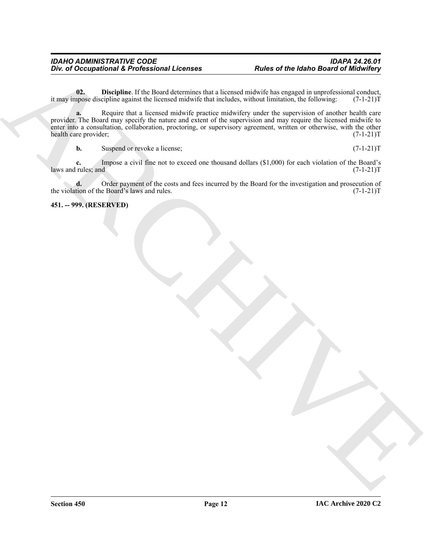<span id="page-11-1"></span>**02. Discipline**. If the Board determines that a licensed midwife has engaged in unprofessional conduct, appose discipline against the licensed midwife that includes, without limitation, the following:  $(7-1-21)$ it may impose discipline against the licensed midwife that includes, without limitation, the following:

*This di Occupational Libertical* and Lie conditions the condition of the Idaho Board of Middle Register and the condition of the Condition of the Condition of the Condition of the Condition of the Condition of the Condit **a.** Require that a licensed midwife practice midwifery under the supervision of another health care provider. The Board may specify the nature and extent of the supervision and may require the licensed midwife to enter into a consultation, collaboration, proctoring, or supervisory agreement, written or otherwise, with the other health care provider; (7-1-21)T health care provider;

**b.** Suspend or revoke a license; (7-1-21)T

**c.** Impose a civil fine not to exceed one thousand dollars (\$1,000) for each violation of the Board's rules; and  $(7-1-21)T$ laws and rules; and

**d.** Order payment of the costs and fees incurred by the Board for the investigation and prosecution of tion of the Board's laws and rules.  $(7-1-21)T$ the violation of the Board's laws and rules.

<span id="page-11-0"></span>**451. -- 999. (RESERVED)**